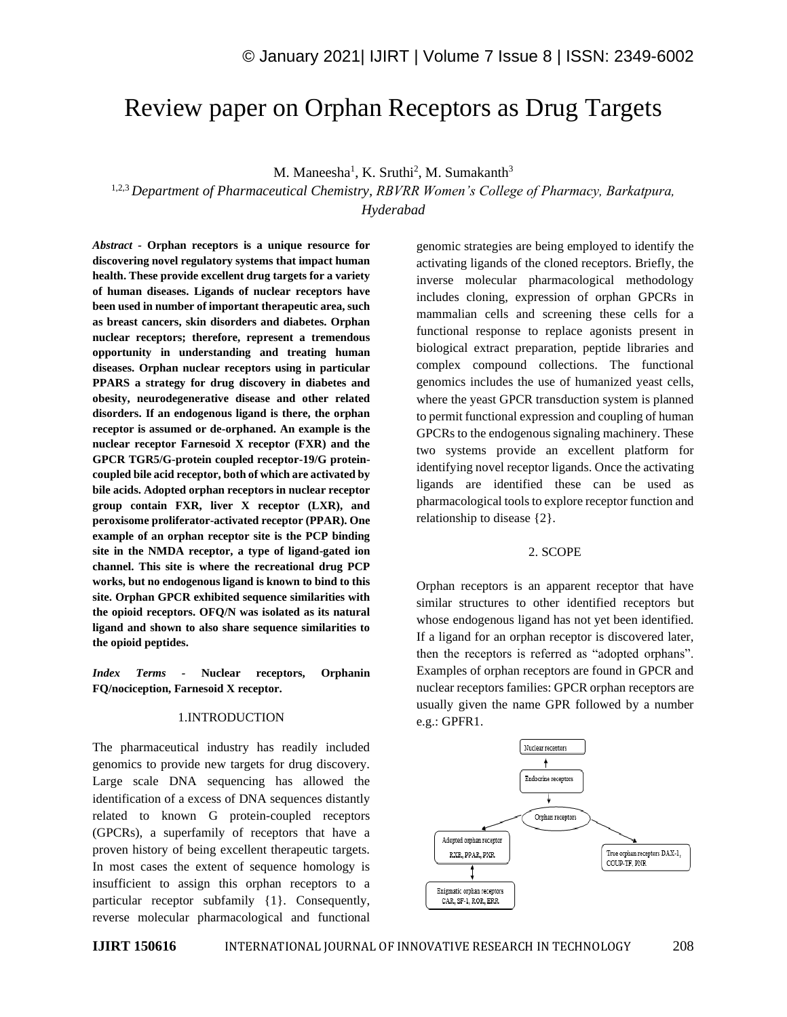# Review paper on Orphan Receptors as Drug Targets

M. Maneesha<sup>1</sup>, K. Sruthi<sup>2</sup>, M. Sumakanth<sup>3</sup>

1,2,3 *Department of Pharmaceutical Chemistry, RBVRR Women's College of Pharmacy, Barkatpura, Hyderabad*

*Abstract -* **Orphan receptors is a unique resource for discovering novel regulatory systems that impact human health. These provide excellent drug targets for a variety of human diseases. Ligands of nuclear receptors have been used in number of important therapeutic area, such as breast cancers, skin disorders and diabetes. Orphan nuclear receptors; therefore, represent a tremendous opportunity in understanding and treating human diseases. Orphan nuclear receptors using in particular PPARS a strategy for drug discovery in diabetes and obesity, neurodegenerative disease and other related disorders. If an endogenous ligand is there, the orphan receptor is assumed or de-orphaned. An example is the nuclear receptor Farnesoid X receptor (FXR) and the GPCR TGR5/G-protein coupled receptor-19/G proteincoupled bile acid receptor, both of which are activated by bile acids. Adopted orphan receptors in nuclear receptor group contain FXR, liver X receptor (LXR), and peroxisome proliferator-activated receptor (PPAR). One example of an orphan receptor site is the PCP binding site in the NMDA receptor, a type of ligand-gated ion channel. This site is where the recreational drug PCP works, but no endogenous ligand is known to bind to this site. Orphan GPCR exhibited sequence similarities with the opioid receptors. OFQ/N was isolated as its natural ligand and shown to also share sequence similarities to the opioid peptides.**

*Index Terms -* **Nuclear receptors, Orphanin FQ/nociception, Farnesoid X receptor.**

#### 1.INTRODUCTION

The pharmaceutical industry has readily included genomics to provide new targets for drug discovery. Large scale DNA sequencing has allowed the identification of a excess of DNA sequences distantly related to known G protein-coupled receptors (GPCRs), a superfamily of receptors that have a proven history of being excellent therapeutic targets. In most cases the extent of sequence homology is insufficient to assign this orphan receptors to a particular receptor subfamily {1}. Consequently, reverse molecular pharmacological and functional genomic strategies are being employed to identify the activating ligands of the cloned receptors. Briefly, the inverse molecular pharmacological methodology includes cloning, expression of orphan GPCRs in mammalian cells and screening these cells for a functional response to replace agonists present in biological extract preparation, peptide libraries and complex compound collections. The functional genomics includes the use of humanized yeast cells, where the yeast GPCR transduction system is planned to permit functional expression and coupling of human GPCRs to the endogenous signaling machinery. These two systems provide an excellent platform for identifying novel receptor ligands. Once the activating ligands are identified these can be used as pharmacological tools to explore receptor function and relationship to disease {2}.

#### 2. SCOPE

Orphan receptors is an apparent receptor that have similar structures to other identified receptors but whose endogenous ligand has not yet been identified. If a ligand for an orphan receptor is discovered later, then the receptors is referred as "adopted orphans". Examples of orphan receptors are found in GPCR and nuclear receptors families: GPCR orphan receptors are usually given the name GPR followed by a number e.g.: GPFR1.

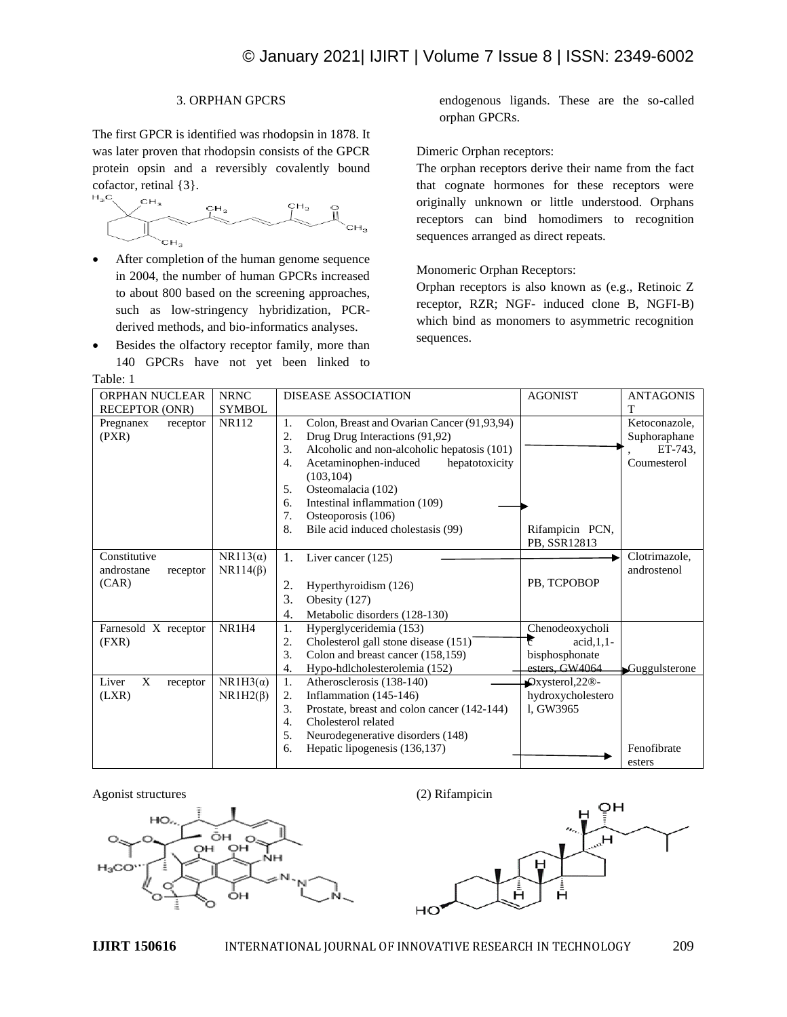# 3. ORPHAN GPCRS

The first GPCR is identified was rhodopsin in 1878. It was later proven that rhodopsin consists of the GPCR protein opsin and a reversibly covalently bound cofactor, retinal {3}.

- After completion of the human genome sequence in 2004, the number of human GPCRs increased to about 800 based on the screening approaches, such as low-stringency hybridization, PCRderived methods, and bio-informatics analyses.
- Besides the olfactory receptor family, more than 140 GPCRs have not yet been linked to

Table: 1

endogenous ligands. These are the so-called orphan GPCRs.

# Dimeric Orphan receptors:

The orphan receptors derive their name from the fact that cognate hormones for these receptors were originally unknown or little understood. Orphans receptors can bind homodimers to recognition sequences arranged as direct repeats.

# Monomeric Orphan Receptors:

Orphan receptors is also known as (e.g., Retinoic Z receptor, RZR; NGF- induced clone B, NGFI-B) which bind as monomers to asymmetric recognition sequences.

| ORPHAN NUCLEAR<br><b>NRNC</b> |                 | <b>DISEASE ASSOCIATION</b>                        | <b>AGONIST</b>       | <b>ANTAGONIS</b> |
|-------------------------------|-----------------|---------------------------------------------------|----------------------|------------------|
| <b>RECEPTOR (ONR)</b>         | <b>SYMBOL</b>   |                                                   |                      | T                |
| Pregnanex<br>receptor         | <b>NR112</b>    | Colon, Breast and Ovarian Cancer (91,93,94)<br>1. |                      | Ketoconazole,    |
| (PXR)                         |                 | Drug Drug Interactions (91,92)<br>2.              |                      | Suphoraphane     |
|                               |                 | 3.<br>Alcoholic and non-alcoholic hepatosis (101) |                      | ET-743.          |
|                               |                 | Acetaminophen-induced<br>hepatotoxicity<br>4.     |                      | Coumesterol      |
|                               |                 | (103, 104)                                        |                      |                  |
|                               |                 | Osteomalacia (102)<br>5.                          |                      |                  |
|                               |                 | Intestinal inflammation (109)<br>6.               |                      |                  |
|                               |                 | 7.<br>Osteoporosis (106)                          |                      |                  |
|                               |                 | 8.<br>Bile acid induced cholestasis (99)          | Rifampicin PCN,      |                  |
|                               |                 |                                                   | PB, SSR12813         |                  |
| Constitutive                  | $NR113(\alpha)$ | 1.<br>Liver cancer $(125)$                        |                      | Clotrimazole,    |
| androstane<br>receptor        | $NR114(\beta)$  |                                                   |                      | androstenol      |
| (CAR)                         |                 | 2.<br>Hyperthyroidism (126)                       | PB, TCPOBOP          |                  |
|                               |                 | 3.<br>Obesity (127)                               |                      |                  |
|                               |                 | 4.<br>Metabolic disorders (128-130)               |                      |                  |
| Farnesold X receptor          | NR1H4           | Hyperglyceridemia (153)<br>1.                     | Chenodeoxycholi      |                  |
| (FXR)                         |                 | Cholesterol gall stone disease (151)<br>2.        | $acid, 1, 1$ -<br>б. |                  |
|                               |                 | 3.<br>Colon and breast cancer (158,159)           | bisphosphonate       |                  |
|                               |                 | Hypo-hdlcholesterolemia (152)<br>4.               | esters_GW4064        | Guggulsterone    |
| Liver<br>X<br>receptor        | $NR1H3(\alpha)$ | 1.<br>Atherosclerosis (138-140)                   | Qxysterol, 22@       |                  |
| (LXR)                         | $NR1H2(\beta)$  | Inflammation (145-146)<br>2.                      | hydroxycholestero    |                  |
|                               |                 | 3.<br>Prostate, breast and colon cancer (142-144) | l, GW3965            |                  |
|                               |                 | Cholesterol related<br>4.                         |                      |                  |
|                               |                 | 5.<br>Neurodegenerative disorders (148)           |                      |                  |
|                               |                 | Hepatic lipogenesis (136,137)<br>6.               |                      | Fenofibrate      |
|                               |                 |                                                   |                      | esters           |

#### Agonist structures (2) Rifampicin



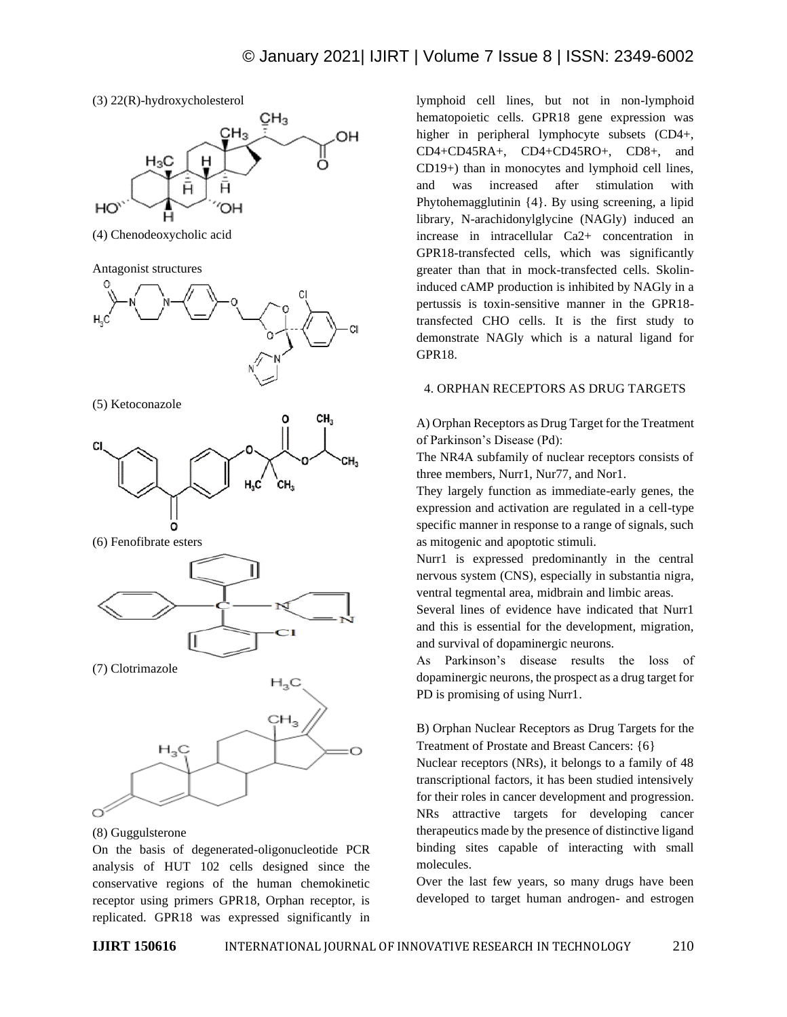



(4) Chenodeoxycholic acid

Antagonist structures



(5) Ketoconazole



(6) Fenofibrate esters



(7) Clotrimazole



(8) Guggulsterone

On the basis of degenerated-oligonucleotide PCR analysis of HUT 102 cells designed since the conservative regions of the human chemokinetic receptor using primers GPR18, Orphan receptor, is replicated. GPR18 was expressed significantly in lymphoid cell lines, but not in non-lymphoid hematopoietic cells. GPR18 gene expression was higher in peripheral lymphocyte subsets (CD4+, CD4+CD45RA+, CD4+CD45RO+, CD8+, and CD19+) than in monocytes and lymphoid cell lines, and was increased after stimulation with Phytohemagglutinin {4}. By using screening, a lipid library, N-arachidonylglycine (NAGly) induced an increase in intracellular Ca2+ concentration in GPR18-transfected cells, which was significantly greater than that in mock-transfected cells. Skolininduced cAMP production is inhibited by NAGly in a pertussis is toxin-sensitive manner in the GPR18 transfected CHO cells. It is the first study to demonstrate NAGly which is a natural ligand for GPR18.

# 4. ORPHAN RECEPTORS AS DRUG TARGETS

A) Orphan Receptors as Drug Target for the Treatment of Parkinson's Disease (Pd):

The NR4A subfamily of nuclear receptors consists of three members, Nurr1, Nur77, and Nor1.

They largely function as immediate-early genes, the expression and activation are regulated in a cell-type specific manner in response to a range of signals, such as mitogenic and apoptotic stimuli.

Nurr1 is expressed predominantly in the central nervous system (CNS), especially in substantia nigra, ventral tegmental area, midbrain and limbic areas.

Several lines of evidence have indicated that Nurr1 and this is essential for the development, migration, and survival of dopaminergic neurons.

As Parkinson's disease results the loss of dopaminergic neurons, the prospect as a drug target for PD is promising of using Nurr1.

B) Orphan Nuclear Receptors as Drug Targets for the Treatment of Prostate and Breast Cancers: {6}

Nuclear receptors (NRs), it belongs to a family of 48 transcriptional factors, it has been studied intensively for their roles in cancer development and progression. NRs attractive targets for developing cancer therapeutics made by the presence of distinctive ligand binding sites capable of interacting with small molecules.

Over the last few years, so many drugs have been developed to target human androgen- and estrogen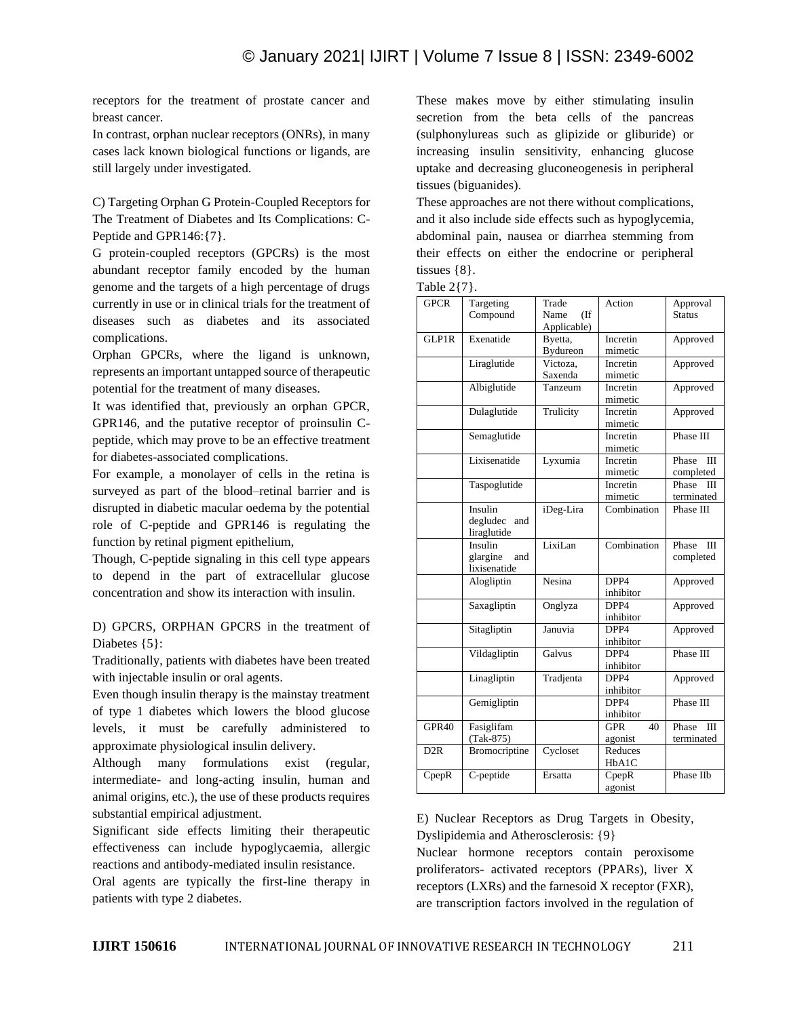receptors for the treatment of prostate cancer and breast cancer.

In contrast, orphan nuclear receptors (ONRs), in many cases lack known biological functions or ligands, are still largely under investigated.

C) Targeting Orphan G Protein-Coupled Receptors for The Treatment of Diabetes and Its Complications: C-Peptide and GPR146:{7}.

G protein-coupled receptors (GPCRs) is the most abundant receptor family encoded by the human genome and the targets of a high percentage of drugs currently in use or in clinical trials for the treatment of diseases such as diabetes and its associated complications.

Orphan GPCRs, where the ligand is unknown, represents an important untapped source of therapeutic potential for the treatment of many diseases.

It was identified that, previously an orphan GPCR, GPR146, and the putative receptor of proinsulin Cpeptide, which may prove to be an effective treatment for diabetes-associated complications.

For example, a monolayer of cells in the retina is surveyed as part of the blood–retinal barrier and is disrupted in diabetic macular oedema by the potential role of C-peptide and GPR146 is regulating the function by retinal pigment epithelium,

Though, C-peptide signaling in this cell type appears to depend in the part of extracellular glucose concentration and show its interaction with insulin.

D) GPCRS, ORPHAN GPCRS in the treatment of Diabetes {5}:

Traditionally, patients with diabetes have been treated with injectable insulin or oral agents.

Even though insulin therapy is the mainstay treatment of type 1 diabetes which lowers the blood glucose levels, it must be carefully administered to approximate physiological insulin delivery.

Although many formulations exist (regular, intermediate- and long-acting insulin, human and animal origins, etc.), the use of these products requires substantial empirical adjustment.

Significant side effects limiting their therapeutic effectiveness can include hypoglycaemia, allergic reactions and antibody-mediated insulin resistance.

Oral agents are typically the first-line therapy in patients with type 2 diabetes.

These makes move by either stimulating insulin secretion from the beta cells of the pancreas (sulphonylureas such as glipizide or gliburide) or increasing insulin sensitivity, enhancing glucose uptake and decreasing gluconeogenesis in peripheral tissues (biguanides).

These approaches are not there without complications, and it also include side effects such as hypoglycemia, abdominal pain, nausea or diarrhea stemming from their effects on either the endocrine or peripheral tissues {8}.

| Fable |  |  |
|-------|--|--|
|       |  |  |

| $1$ aviv $2 + 1$ . |                 |                        |                  |                         |  |
|--------------------|-----------------|------------------------|------------------|-------------------------|--|
| <b>GPCR</b>        | Targeting       | Trade                  | Action           | Approval                |  |
|                    | Compound        | Name<br>$($ If         |                  | Status                  |  |
|                    |                 | Applicable)            |                  |                         |  |
| GLP1R              | Exenatide       | Byetta,                | Incretin         | Approved                |  |
|                    |                 | Bydureon               | mimetic          |                         |  |
|                    | Liraglutide     | $\overline{V}$ ictoza, | Incretin         | Approved                |  |
|                    |                 | Saxenda                | mimetic          |                         |  |
|                    | Albiglutide     | Tanzeum                | Incretin         | Approved                |  |
|                    |                 |                        | mimetic          |                         |  |
|                    | Dulaglutide     | Trulicity              | Incretin         | Approved                |  |
|                    |                 |                        | mimetic          |                         |  |
|                    | Semaglutide     |                        | Incretin         | Phase III               |  |
|                    |                 |                        | mimetic          |                         |  |
|                    | Lixisenatide    | Lyxumia                | Incretin         | Phase<br>$\mathbf{III}$ |  |
|                    |                 |                        | mimetic          | completed               |  |
|                    | Taspoglutide    |                        | Incretin         | Phase<br>Ш              |  |
|                    |                 |                        | mimetic          | terminated              |  |
|                    | Insulin         | iDeg-Lira              | Combination      | Phase III               |  |
|                    | degludec<br>and |                        |                  |                         |  |
|                    | liraglutide     |                        |                  |                         |  |
|                    | Insulin         | LixiLan                | Combination      | Phase<br>ΠI             |  |
|                    | glargine<br>and |                        |                  | completed               |  |
|                    | lixisenatide    |                        |                  |                         |  |
|                    | Alogliptin      | Nesina                 | DPP4             | Approved                |  |
|                    |                 |                        | inhibitor        |                         |  |
|                    | Saxagliptin     | Onglyza                | DPP4<br>Approved |                         |  |
|                    |                 |                        | inhibitor        |                         |  |
|                    | Sitagliptin     | Januvia                | DPP4             | Approved                |  |
|                    |                 |                        | inhibitor        |                         |  |
|                    | Vildagliptin    | Galvus                 | DPP4             | Phase III               |  |
|                    |                 |                        | inhibitor        |                         |  |
|                    | Linagliptin     | Tradjenta<br>DPP4      |                  | Approved                |  |
|                    |                 |                        | inhibitor        |                         |  |
|                    | Gemigliptin     |                        | DPP4             | Phase III               |  |
|                    |                 |                        | inhibitor        |                         |  |
| GPR40              | Fasiglifam      |                        | <b>GPR</b><br>40 | Phase<br>Ш              |  |
|                    | $(Tak-875)$     |                        | agonist          | terminated              |  |
| D <sub>2</sub> R   | Bromocriptine   | Cycloset               | Reduces          |                         |  |
|                    |                 |                        | HbA1C            |                         |  |
| CpepR              | C-peptide       | Ersatta                | CpepR            | Phase IIb               |  |
|                    |                 |                        | agonist          |                         |  |

E) Nuclear Receptors as Drug Targets in Obesity, Dyslipidemia and Atherosclerosis: {9}

Nuclear hormone receptors contain peroxisome proliferators- activated receptors (PPARs), liver X receptors (LXRs) and the farnesoid X receptor (FXR), are transcription factors involved in the regulation of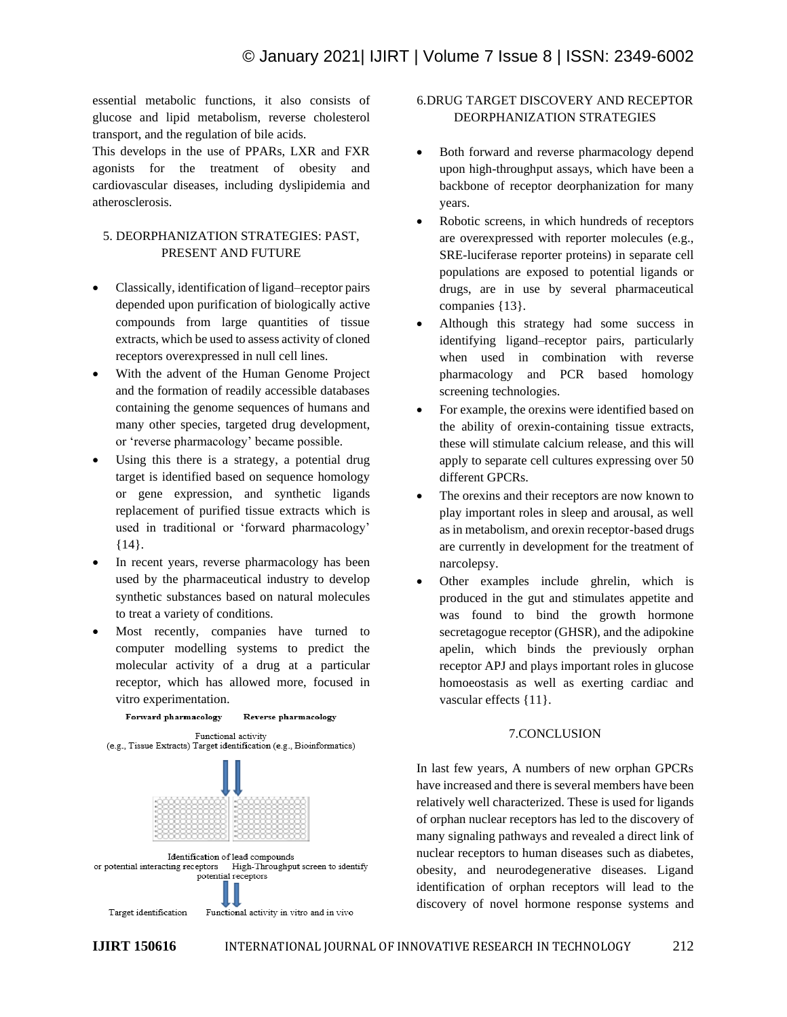essential metabolic functions, it also consists of glucose and lipid metabolism, reverse cholesterol transport, and the regulation of bile acids.

This develops in the use of PPARs, LXR and FXR agonists for the treatment of obesity and cardiovascular diseases, including dyslipidemia and atherosclerosis.

# 5. DEORPHANIZATION STRATEGIES: PAST, PRESENT AND FUTURE

- Classically, identification of ligand–receptor pairs depended upon purification of biologically active compounds from large quantities of tissue extracts, which be used to assess activity of cloned receptors overexpressed in null cell lines.
- With the advent of the Human Genome Project and the formation of readily accessible databases containing the genome sequences of humans and many other species, targeted drug development, or 'reverse pharmacology' became possible.
- Using this there is a strategy, a potential drug target is identified based on sequence homology or gene expression, and synthetic ligands replacement of purified tissue extracts which is used in traditional or 'forward pharmacology' {14}.
- In recent years, reverse pharmacology has been used by the pharmaceutical industry to develop synthetic substances based on natural molecules to treat a variety of conditions.
- Most recently, companies have turned to computer modelling systems to predict the molecular activity of a drug at a particular receptor, which has allowed more, focused in vitro experimentation.

Reverse pharmacology

Forward pharmacology



# 6.DRUG TARGET DISCOVERY AND RECEPTOR DEORPHANIZATION STRATEGIES

- Both forward and reverse pharmacology depend upon high-throughput assays, which have been a backbone of receptor deorphanization for many years.
- Robotic screens, in which hundreds of receptors are overexpressed with reporter molecules (e.g., SRE-luciferase reporter proteins) in separate cell populations are exposed to potential ligands or drugs, are in use by several pharmaceutical companies {13}.
- Although this strategy had some success in identifying ligand–receptor pairs, particularly when used in combination with reverse pharmacology and PCR based homology screening technologies.
- For example, the orexins were identified based on the ability of orexin-containing tissue extracts, these will stimulate calcium release, and this will apply to separate cell cultures expressing over 50 different GPCRs.
- The orexins and their receptors are now known to play important roles in sleep and arousal, as well as in metabolism, and orexin receptor-based drugs are currently in development for the treatment of narcolepsy.
- Other examples include ghrelin, which is produced in the gut and stimulates appetite and was found to bind the growth hormone secretagogue receptor (GHSR), and the adipokine apelin, which binds the previously orphan receptor APJ and plays important roles in glucose homoeostasis as well as exerting cardiac and vascular effects {11}.

# 7.CONCLUSION

In last few years, A numbers of new orphan GPCRs have increased and there is several members have been relatively well characterized. These is used for ligands of orphan nuclear receptors has led to the discovery of many signaling pathways and revealed a direct link of nuclear receptors to human diseases such as diabetes, obesity, and neurodegenerative diseases. Ligand identification of orphan receptors will lead to the discovery of novel hormone response systems and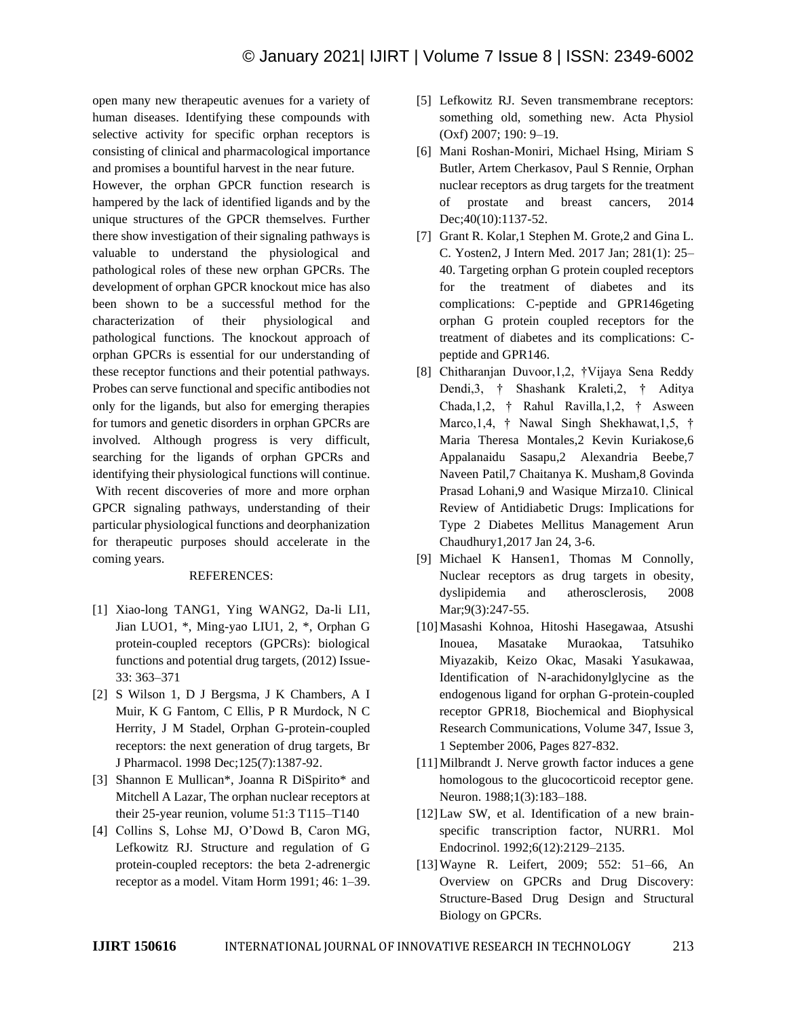open many new therapeutic avenues for a variety of human diseases. Identifying these compounds with selective activity for specific orphan receptors is consisting of clinical and pharmacological importance and promises a bountiful harvest in the near future.

However, the orphan GPCR function research is hampered by the lack of identified ligands and by the unique structures of the GPCR themselves. Further there show investigation of their signaling pathways is valuable to understand the physiological and pathological roles of these new orphan GPCRs. The development of orphan GPCR knockout mice has also been shown to be a successful method for the characterization of their physiological and pathological functions. The knockout approach of orphan GPCRs is essential for our understanding of these receptor functions and their potential pathways. Probes can serve functional and specific antibodies not only for the ligands, but also for emerging therapies for tumors and genetic disorders in orphan GPCRs are involved. Although progress is very difficult, searching for the ligands of orphan GPCRs and identifying their physiological functions will continue. With recent discoveries of more and more orphan GPCR signaling pathways, understanding of their particular physiological functions and deorphanization for therapeutic purposes should accelerate in the coming years.

# REFERENCES:

- [1] Xiao-long TANG1, Ying WANG2, Da-li LI1, Jian LUO1, \*, Ming-yao LIU1, 2, \*, Orphan G protein-coupled receptors (GPCRs): biological functions and potential drug targets, (2012) Issue-33: 363–371
- [2] S Wilson 1, D J Bergsma, J K Chambers, A I Muir, K G Fantom, C Ellis, P R Murdock, N C Herrity, J M Stadel, Orphan G-protein-coupled receptors: the next generation of drug targets, Br J Pharmacol. 1998 Dec;125(7):1387-92.
- [3] Shannon E Mullican\*, Joanna R DiSpirito\* and Mitchell A Lazar, The orphan nuclear receptors at their 25-year reunion, volume 51:3 T115–T140
- [4] Collins S, Lohse MJ, O'Dowd B, Caron MG, Lefkowitz RJ. Structure and regulation of G protein-coupled receptors: the beta 2-adrenergic receptor as a model. Vitam Horm 1991; 46: 1–39.
- [5] Lefkowitz RJ. Seven transmembrane receptors: something old, something new. Acta Physiol (Oxf) 2007; 190: 9–19.
- [6] Mani Roshan-Moniri, Michael Hsing, Miriam S Butler, Artem Cherkasov, Paul S Rennie, Orphan nuclear receptors as drug targets for the treatment of prostate and breast cancers, 2014 Dec; 40(10): 1137-52.
- [7] Grant R. Kolar, 1 Stephen M. Grote, 2 and Gina L. C. Yosten2, J Intern Med. 2017 Jan; 281(1): 25– 40. Targeting orphan G protein coupled receptors for the treatment of diabetes and its complications: C-peptide and GPR146geting orphan G protein coupled receptors for the treatment of diabetes and its complications: Cpeptide and GPR146.
- [8] Chitharanjan Duvoor,1,2, †Vijaya Sena Reddy Dendi,3, † Shashank Kraleti,2, † Aditya Chada,1,2, † Rahul Ravilla,1,2, † Asween Marco,1,4, † Nawal Singh Shekhawat,1,5, † Maria Theresa Montales,2 Kevin Kuriakose,6 Appalanaidu Sasapu,2 Alexandria Beebe,7 Naveen Patil,7 Chaitanya K. Musham,8 Govinda Prasad Lohani,9 and Wasique Mirza10. Clinical Review of Antidiabetic Drugs: Implications for Type 2 Diabetes Mellitus Management Arun Chaudhury1,2017 Jan 24, 3-6.
- [9] Michael K Hansen1, Thomas M Connolly, Nuclear receptors as drug targets in obesity, dyslipidemia and atherosclerosis, 2008 Mar; 9(3): 247-55.
- [10]Masashi Kohnoa, Hitoshi Hasegawaa, Atsushi Inouea, Masatake Muraokaa, Tatsuhiko Miyazakib, Keizo Okac, Masaki Yasukawaa, Identification of N-arachidonylglycine as the endogenous ligand for orphan G-protein-coupled receptor GPR18, Biochemical and Biophysical Research Communications, Volume 347, Issue 3, 1 September 2006, Pages 827-832.
- [11] Milbrandt J. Nerve growth factor induces a gene homologous to the glucocorticoid receptor gene. Neuron. 1988;1(3):183–188.
- [12] Law SW, et al. Identification of a new brainspecific transcription factor, NURR1. Mol Endocrinol. 1992;6(12):2129–2135.
- [13]Wayne R. Leifert, 2009; 552: 51–66, An Overview on GPCRs and Drug Discovery: Structure-Based Drug Design and Structural Biology on GPCRs.